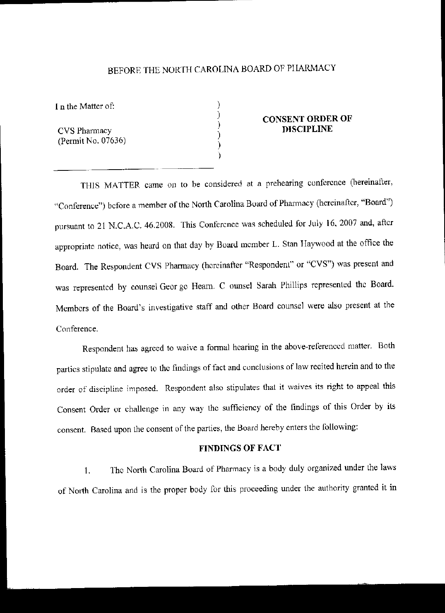# BEFORE THE NORTH CAROLINA BOARD OF PHARMACY

) ) ) ) ) )

I n the Matter of:

CVS Pharmacy (Permit No. 07636)

## CONSENT ORDER OF **DISCIPLINE**

THIS MATTER came on to be considered at a prehearing cunfercnce (hereinafter, "Conference") before a member of the North Carolina Board of Pharmacy (hereinafter, "Board") pursuant to 21 N.C.A.C. 46.200S. This Conference was scheduled for July 16,2007 and, after appropriate notice, was heard on that day by Board member L. Stan Haywood at the office the Board. The Respondent CVS Phannacy (hereinafter "Respondent" or "CVS") was present and was represented by counsel Geor ge Hearn. C ounsel Sarah Phillips represented the Board. Members of the Board's investigative staff and other Board counsel were also present at the Conference.

Respondent has agreed to waive a formal hearing in the above-referenced matter. Both parties stipulate and agree to the findings of fact and cunclusions of law recited herein and to the order of discipline imposed. Respondent also stipulates that it waives its right to appeal this Consent Order or challenge in any way the sufficiency of the findings of this Order by its consent. Based upon the consent of the parties, the Board hereby enters the following:

### FINDINGS OF FACT

1. Thc North Carolina Board of Phannacy is a body duly organized under the laws of North Carolina and is the proper body for this proceeding under the authority granted it in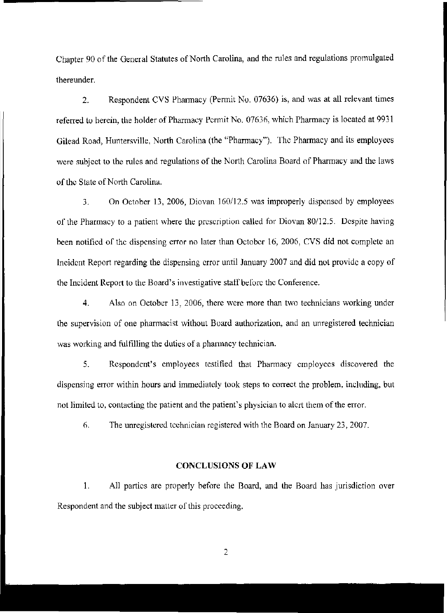Chapter 90 of the General Statutes of North Carolina, and the rules and regulations promulgated thereunder.

2. Respondent CYS Phannacy (Permit No. 07636) is, and was at all relevant times referred to herein, the holder of Pharmacy Permit No. 07636, which Pharmacy is located at 9931 Gilead Road, Huntersville, North Carolina (the \'Pharmacy"). The Pharmacy and its employees were subject to the rules and regulations of the North Carolina Board of Pharmacy and the laws of the State of North Carolina.

3. On October 13, 2006, Diovan 160/12.5 was improperly dispensed by employees of the Pharmacy to a patient where the prescription called for Diovan 80/12.5. Despite having been notified of the dispensing error no later than October 16, 2006, CVS did not complete an incident Report regarding the dispensing error until January 2007 and did not provide a copy of the Incident Report to the Board's investigative staff before the Conference.

4. Also on October 13, 2006, there were more than two technicians working under the supervision of one pharmacist without Board authorization, and an unregistered technician was working and fulfilling the duties of a pharmacy technician.

5. Respondent's employees testified thal Pharmacy employees discovered the dispensing error within hours and immediately took steps to correct the problem, including, but not limited to, contacting the patient and the patient's physician to alert them of the error.

6. The unregislered technician registered with the Board on January 23, 2007.

#### CONCLUSIONS OF LAW

1. All parties are properly before the Board, and the Board has jurisdiction over Respondent and the subject matter of this proceeding,

2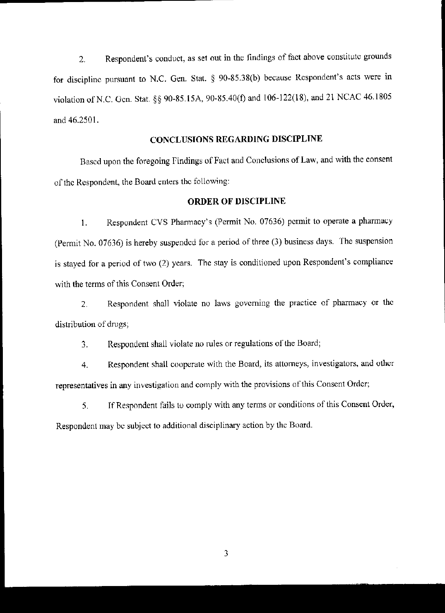2. Respondent's conduct, as set out in the findings of fact above constitute growlds for discipline pursuant to N.C. Gen. Stat. § 90-85.38(b) because Respondent's acts were in violation of N.C. Gen. Stat. §§ 90-85.15A, 90-85.40(f) and 106-122(18), and 21 NCAC 46.1805 and 46.2501.

# CONCLUSIONS REGARDING DISCIPLINE

Based upon the foregoing findings of Fact and Conclusions of Law, and with the consent of the Respondent, the Board enters the following:

## ORDER OF DISCIPLINE

1. Respondent CVS Phannacy's (Permit No. 07636) permit to operate a pharmacy (Permit No. 07636) is hereby suspended for a period of three (3) business days. The suspension is stayed for a period of two (2) years. The stay is conditioned upon Respondent's compliance with the terms of this Consent Order;

2. Respondent shall violate no laws governing the practice of pharmacy or the distribution of drugs;

3. Respondent shall violate no rules or regulations of the Board;

4. Respondent shall cooperate with the Board, its attorneys, investigators, and other representatives in any investigation and comply with the provisions of this Consent Order;

5. If Respondent fails tu cumply with any terms or conditions of this Consent Order, Respondent may be subject to additional disciplinary action by the Board.

3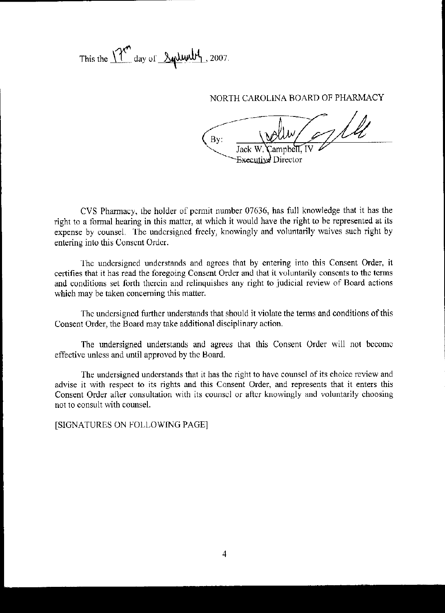This the  $17''$  day of  $\frac{84444}{1}$ , 2007.

NORTH CAROLINA BOARD OF PHARMACY

 $\mathbf{By:}$ Executive Director

CVS Pharmacy, the holder of permit number 07636, has fuJI knowledge that it has the right to a formal hearing in this matter, at which it would have the right to be represented at its expense by counsel. The undersigned freely, knowingly and voluntarily waives such right by entering into this Consent Order.

The undersigned understands and agrees that by entering into this Consent Order, it certifies that it has read the foregoing Consent Order and that it voluntarily consents to the terms and cunditions set forth therein and relinquishes any right to judicial review of Board actions which may be taken conceming this matter.

The undersigned further understands that should it violate the terms and conditions of this Consent Order, the Board may take additional disciplinary action.

The undersigned understands and agrees that this Consent Order will not become effective unless and until approved by the Board.

The undersigned understands that it has the right to have counsel of its choice review and advise it with respect to its rights and this Consent Order, and represents that it enters this Consent Order after consultation with its counsel or after knowingly and voluntarily choosing not to consult with counsel.

[SIGNATURES ON FOLLOWING PAGEl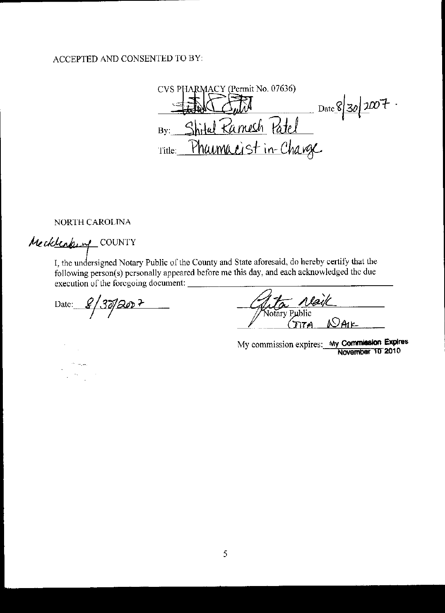# ACCEPTED AND CONSENTED TO BY:

CVS PHARMACY (Permit No. 07636)  $\frac{1}{\sqrt{1-\frac{1}{20}}}\int_0^{\frac{1}{20}} 2\pi r^2 dx$ Shital Ramesh Patel  $By:$ Pharmacist in-Change Title:

NORTH CAROLINA

Mecklenking COUNTY

 $\sim$ 

gales in 19

I, the undersigned Notary Public of the County and State aforesaid, do hereby certify that the following person(s) personally appeared before me this day, and each acknowledged the due execution of the foregoing document:

Date:  $8/30/80$ 

Vaik Notary Pi <u>NAIL</u>

My commission expires: My Commission Expires November 10 2010